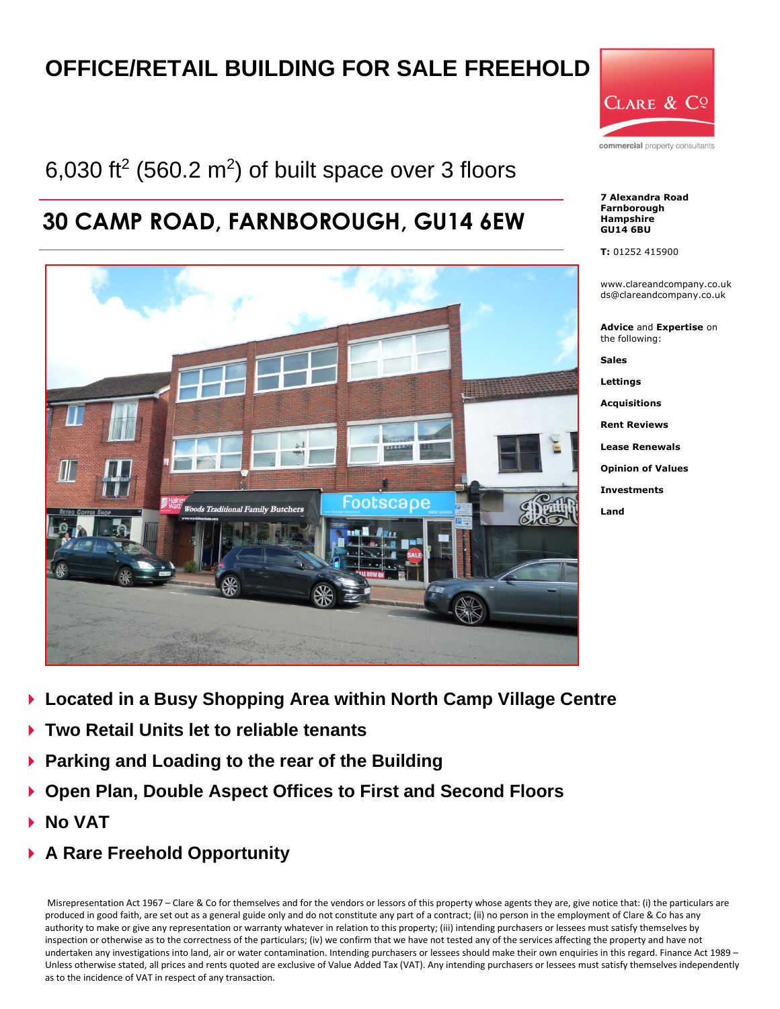# **OFFICE/RETAIL BUILDING FOR SALE FREEHOLD**

# 6,030 ft<sup>2</sup> (560.2 m<sup>2</sup>) of built space over 3 floors

# **30 CAMP ROAD, FARNBOROUGH, GU14 6EW**





commercial property consultants

**7 Alexandra Road Farnborough Hampshire GU14 6BU**

**T:** 01252 415900

www.clareandcompany.co.uk ds@clareandcompany.co.uk

**Advice** and **Expertise** on the following:

**Sales Lettings Acquisitions Rent Reviews Lease Renewals**

**Opinion of Values**

**Investments**

**Land**

- **Located in a Busy Shopping Area within North Camp Village Centre**
- **Two Retail Units let to reliable tenants**
- **Parking and Loading to the rear of the Building**
- **Open Plan, Double Aspect Offices to First and Second Floors**
- **No VAT**
- **A Rare Freehold Opportunity**

Misrepresentation Act 1967 – Clare & Co for themselves and for the vendors or lessors of this property whose agents they are, give notice that: (i) the particulars are produced in good faith, are set out as a general guide only and do not constitute any part of a contract; (ii) no person in the employment of Clare & Co has any authority to make or give any representation or warranty whatever in relation to this property; (iii) intending purchasers or lessees must satisfy themselves by inspection or otherwise as to the correctness of the particulars; (iv) we confirm that we have not tested any of the services affecting the property and have not undertaken any investigations into land, air or water contamination. Intending purchasers or lessees should make their own enquiries in this regard. Finance Act 1989 – Unless otherwise stated, all prices and rents quoted are exclusive of Value Added Tax (VAT). Any intending purchasers or lessees must satisfy themselves independently as to the incidence of VAT in respect of any transaction.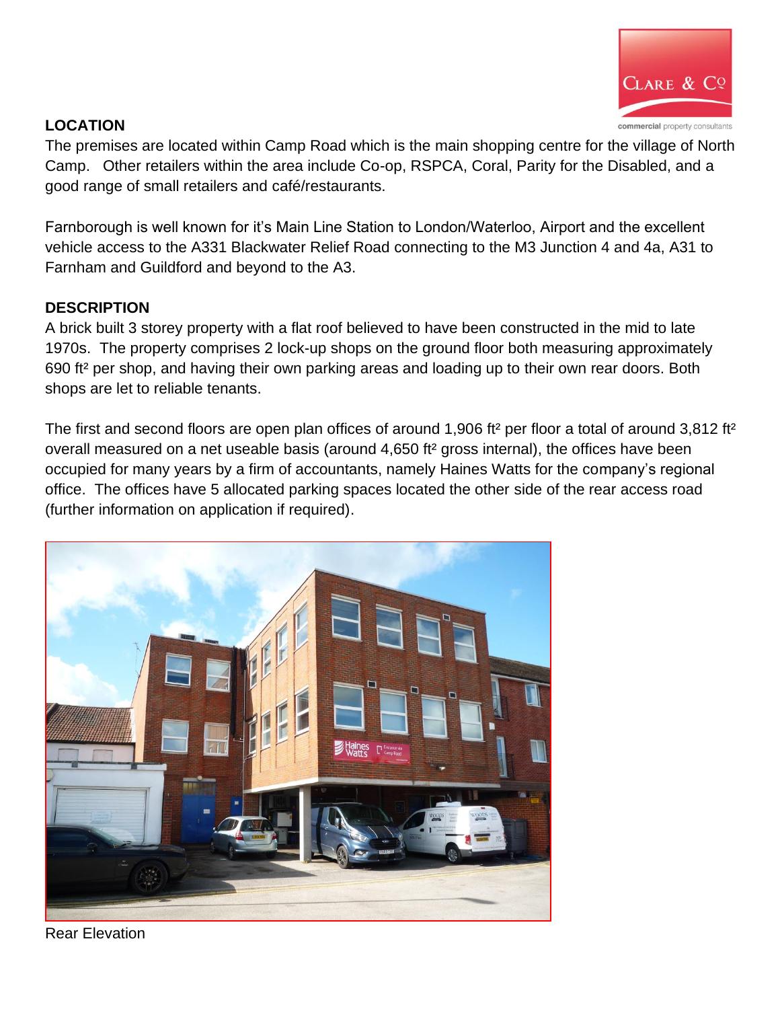

# **LOCATION**

The premises are located within Camp Road which is the main shopping centre for the village of North Camp. Other retailers within the area include Co-op, RSPCA, Coral, Parity for the Disabled, and a good range of small retailers and café/restaurants.

Farnborough is well known for it's Main Line Station to London/Waterloo, Airport and the excellent vehicle access to the A331 Blackwater Relief Road connecting to the M3 Junction 4 and 4a, A31 to Farnham and Guildford and beyond to the A3.

### **DESCRIPTION**

A brick built 3 storey property with a flat roof believed to have been constructed in the mid to late 1970s. The property comprises 2 lock-up shops on the ground floor both measuring approximately 690 ft² per shop, and having their own parking areas and loading up to their own rear doors. Both shops are let to reliable tenants.

The first and second floors are open plan offices of around 1,906 ft<sup>2</sup> per floor a total of around 3,812 ft<sup>2</sup> overall measured on a net useable basis (around 4,650 ft² gross internal), the offices have been occupied for many years by a firm of accountants, namely Haines Watts for the company's regional office. The offices have 5 allocated parking spaces located the other side of the rear access road (further information on application if required).



Rear Elevation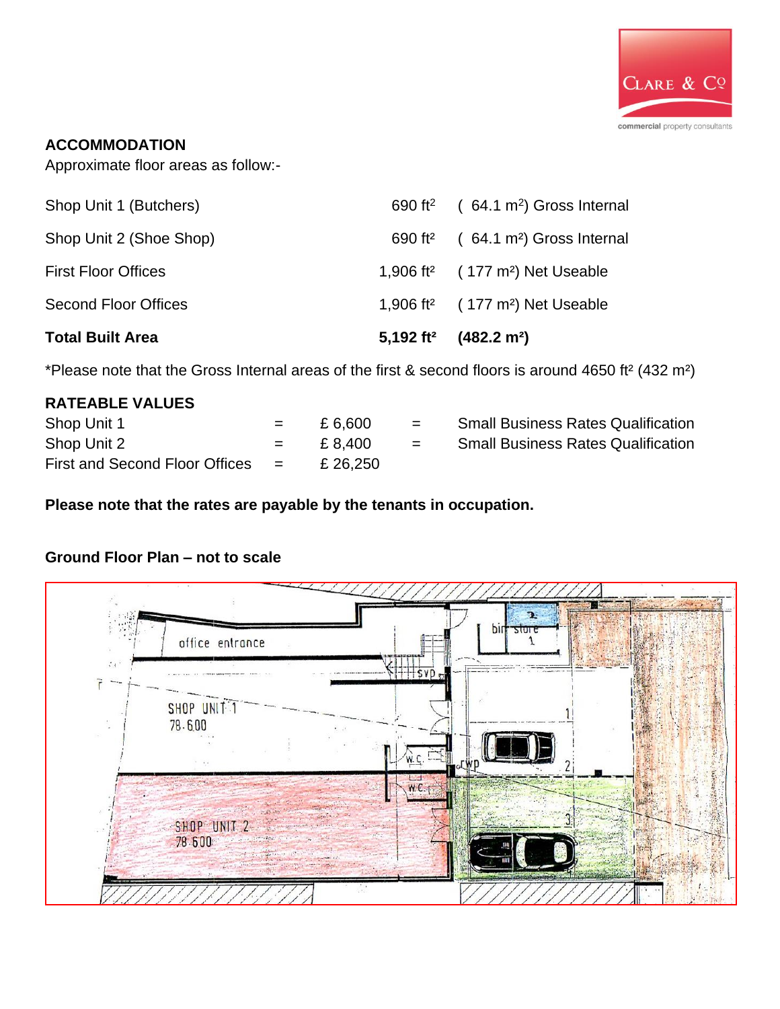

### **ACCOMMODATION**

Approximate floor areas as follow:-

| <b>Total Built Area</b>     | 5,192 ft <sup>2</sup> (482.2 m <sup>2</sup> )           |
|-----------------------------|---------------------------------------------------------|
| <b>Second Floor Offices</b> | 1,906 ft <sup>2</sup> $(177 \text{ m}^2)$ Net Useable   |
| <b>First Floor Offices</b>  | 1,906 ft <sup>2</sup> $(177 \text{ m}^2)$ Net Useable   |
| Shop Unit 2 (Shoe Shop)     | 690 ft <sup>2</sup> $(64.1 \text{ m}^2)$ Gross Internal |
| Shop Unit 1 (Butchers)      | 690 ft <sup>2</sup> $(64.1 \text{ m}^2)$ Gross Internal |

\*Please note that the Gross Internal areas of the first & second floors is around 4650 ft² (432 m²)

| <b>RATEABLE VALUES</b>             |     |          |          |                                           |
|------------------------------------|-----|----------|----------|-------------------------------------------|
| Shop Unit 1                        | $=$ | £ 6.600  | $=$      | <b>Small Business Rates Qualification</b> |
| Shop Unit 2                        | $=$ | £ 8.400  | $\equiv$ | <b>Small Business Rates Qualification</b> |
| First and Second Floor Offices $=$ |     | £ 26,250 |          |                                           |

**Please note that the rates are payable by the tenants in occupation.**

# **Ground Floor Plan – not to scale**

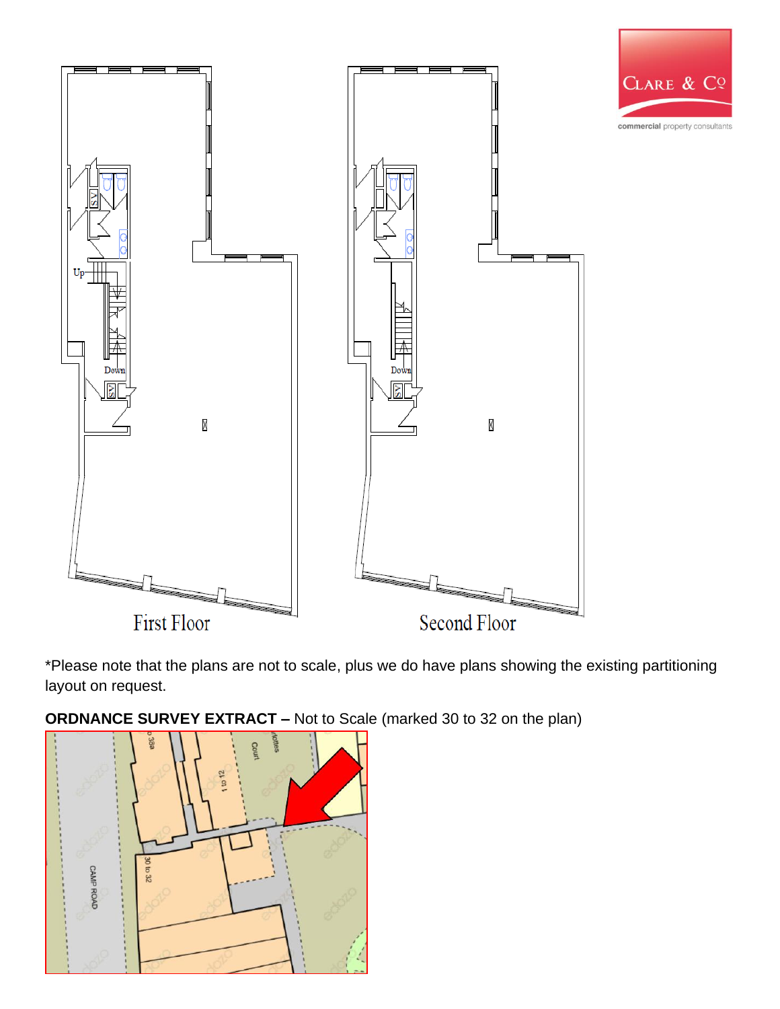

\*Please note that the plans are not to scale, plus we do have plans showing the existing partitioning layout on request.

**ORDNANCE SURVEY EXTRACT –** Not to Scale (marked 30 to 32 on the plan)

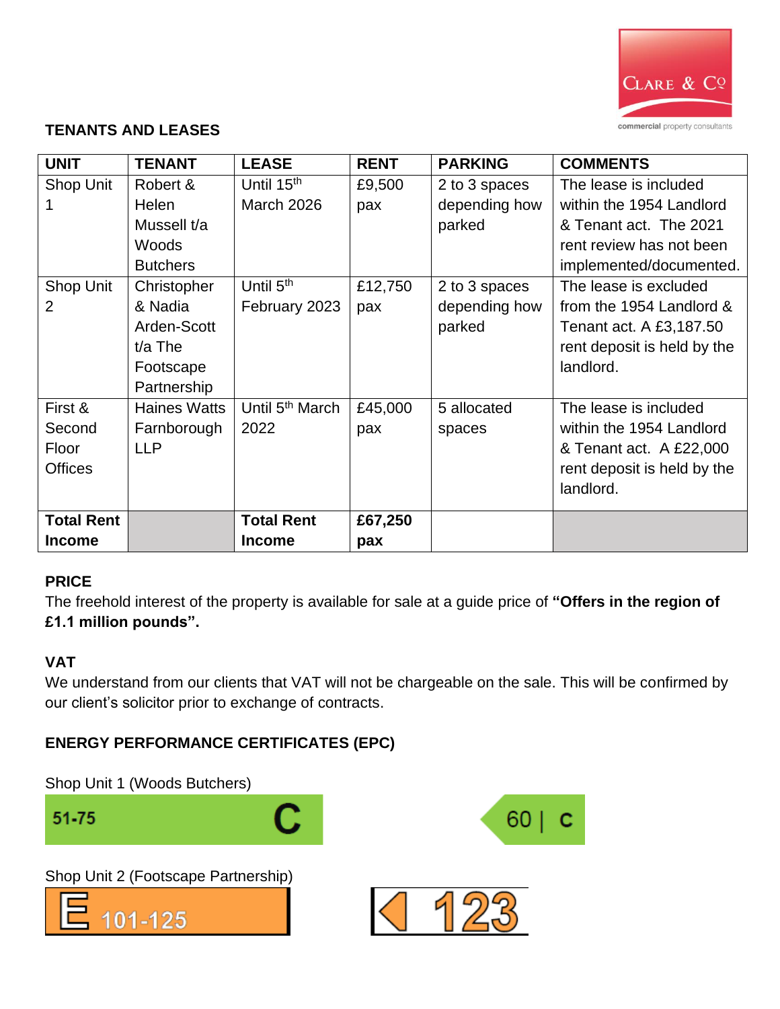

#### **TENANTS AND LEASES**

| <b>UNIT</b>       | <b>TENANT</b>       | <b>LEASE</b>                | <b>RENT</b> | <b>PARKING</b> | <b>COMMENTS</b>             |
|-------------------|---------------------|-----------------------------|-------------|----------------|-----------------------------|
| Shop Unit         | Robert &            | Until 15 <sup>th</sup>      | £9,500      | 2 to 3 spaces  | The lease is included       |
|                   | Helen               | <b>March 2026</b>           | pax         | depending how  | within the 1954 Landlord    |
|                   | Mussell t/a         |                             |             | parked         | & Tenant act. The 2021      |
|                   | Woods               |                             |             |                | rent review has not been    |
|                   | <b>Butchers</b>     |                             |             |                | implemented/documented.     |
| Shop Unit         | Christopher         | Until 5 <sup>th</sup>       | £12,750     | 2 to 3 spaces  | The lease is excluded       |
| $\overline{2}$    | & Nadia             | February 2023               | pax         | depending how  | from the 1954 Landlord &    |
|                   | Arden-Scott         |                             |             | parked         | Tenant act. A £3,187.50     |
|                   | $t/a$ The           |                             |             |                | rent deposit is held by the |
|                   | Footscape           |                             |             |                | landlord.                   |
|                   | Partnership         |                             |             |                |                             |
| First &           | <b>Haines Watts</b> | Until 5 <sup>th</sup> March | £45,000     | 5 allocated    | The lease is included       |
| Second            | Farnborough         | 2022                        | pax         | spaces         | within the 1954 Landlord    |
| Floor             | <b>LLP</b>          |                             |             |                | & Tenant act. A £22,000     |
| <b>Offices</b>    |                     |                             |             |                | rent deposit is held by the |
|                   |                     |                             |             |                | landlord.                   |
| <b>Total Rent</b> |                     | <b>Total Rent</b>           | £67,250     |                |                             |
| <b>Income</b>     |                     | <b>Income</b>               | pax         |                |                             |

#### **PRICE**

The freehold interest of the property is available for sale at a guide price of **"Offers in the region of £1.1 million pounds".** 

#### **VAT**

We understand from our clients that VAT will not be chargeable on the sale. This will be confirmed by our client's solicitor prior to exchange of contracts.

# **ENERGY PERFORMANCE CERTIFICATES (EPC)**

Shop Unit 1 (Woods Butchers)